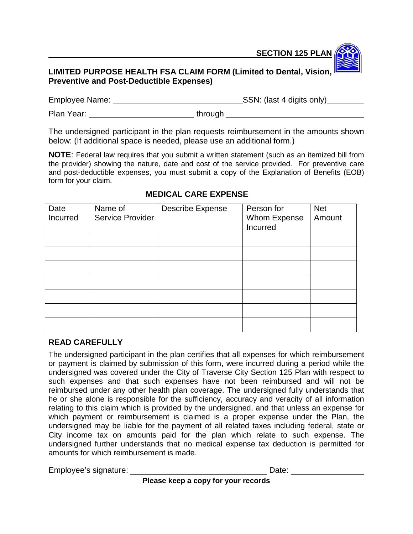**SECTION 125 PLAN** 

## **LIMITED PURPOSE HEALTH FSA CLAIM FORM (Limited to Dental, Vision, Preventive and Post-Deductible Expenses)**

Employee Name: SSN: (last 4 digits only)

Plan Year: \_\_\_\_\_\_\_\_\_\_\_\_\_\_\_\_\_\_\_\_\_\_\_\_\_\_\_\_\_\_through \_\_\_\_\_\_\_\_\_\_\_\_\_\_\_\_\_\_\_\_\_\_\_\_\_\_\_\_\_\_\_

The undersigned participant in the plan requests reimbursement in the amounts shown below: (If additional space is needed, please use an additional form.)

**NOTE**: Federal law requires that you submit a written statement (such as an itemized bill from the provider) showing the nature, date and cost of the service provided. For preventive care and post-deductible expenses, you must submit a copy of the Explanation of Benefits (EOB) form for your claim.

| Date<br>Incurred | Name of<br>Service Provider | <b>Describe Expense</b> | Person for<br>Whom Expense<br>Incurred | <b>Net</b><br>Amount |
|------------------|-----------------------------|-------------------------|----------------------------------------|----------------------|
|                  |                             |                         |                                        |                      |
|                  |                             |                         |                                        |                      |
|                  |                             |                         |                                        |                      |
|                  |                             |                         |                                        |                      |
|                  |                             |                         |                                        |                      |
|                  |                             |                         |                                        |                      |
|                  |                             |                         |                                        |                      |
|                  |                             |                         |                                        |                      |

## **MEDICAL CARE EXPENSE**

## **READ CAREFULLY**

The undersigned participant in the plan certifies that all expenses for which reimbursement or payment is claimed by submission of this form, were incurred during a period while the undersigned was covered under the City of Traverse City Section 125 Plan with respect to such expenses and that such expenses have not been reimbursed and will not be reimbursed under any other health plan coverage. The undersigned fully understands that he or she alone is responsible for the sufficiency, accuracy and veracity of all information relating to this claim which is provided by the undersigned, and that unless an expense for which payment or reimbursement is claimed is a proper expense under the Plan, the undersigned may be liable for the payment of all related taxes including federal, state or City income tax on amounts paid for the plan which relate to such expense. The undersigned further understands that no medical expense tax deduction is permitted for amounts for which reimbursement is made.

Employee's signature: Date: